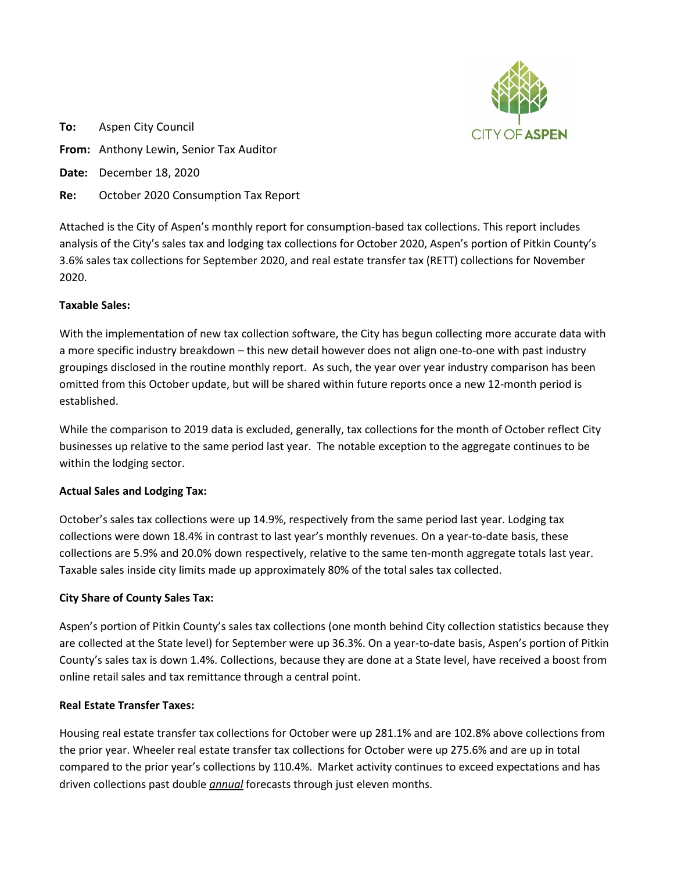

**To:** Aspen City Council **From:** Anthony Lewin, Senior Tax Auditor **Date:** December 18, 2020 **Re:** October 2020 Consumption Tax Report

Attached is the City of Aspen's monthly report for consumption-based tax collections. This report includes analysis of the City's sales tax and lodging tax collections for October 2020, Aspen's portion of Pitkin County's 3.6% sales tax collections for September 2020, and real estate transfer tax (RETT) collections for November 2020.

# **Taxable Sales:**

With the implementation of new tax collection software, the City has begun collecting more accurate data with a more specific industry breakdown – this new detail however does not align one-to-one with past industry groupings disclosed in the routine monthly report. As such, the year over year industry comparison has been omitted from this October update, but will be shared within future reports once a new 12-month period is established.

While the comparison to 2019 data is excluded, generally, tax collections for the month of October reflect City businesses up relative to the same period last year. The notable exception to the aggregate continues to be within the lodging sector.

## **Actual Sales and Lodging Tax:**

October's sales tax collections were up 14.9%, respectively from the same period last year. Lodging tax collections were down 18.4% in contrast to last year's monthly revenues. On a year-to-date basis, these collections are 5.9% and 20.0% down respectively, relative to the same ten-month aggregate totals last year. Taxable sales inside city limits made up approximately 80% of the total sales tax collected.

# **City Share of County Sales Tax:**

Aspen's portion of Pitkin County's sales tax collections (one month behind City collection statistics because they are collected at the State level) for September were up 36.3%. On a year-to-date basis, Aspen's portion of Pitkin County's sales tax is down 1.4%. Collections, because they are done at a State level, have received a boost from online retail sales and tax remittance through a central point.

## **Real Estate Transfer Taxes:**

Housing real estate transfer tax collections for October were up 281.1% and are 102.8% above collections from the prior year. Wheeler real estate transfer tax collections for October were up 275.6% and are up in total compared to the prior year's collections by 110.4%. Market activity continues to exceed expectations and has driven collections past double *annual* forecasts through just eleven months.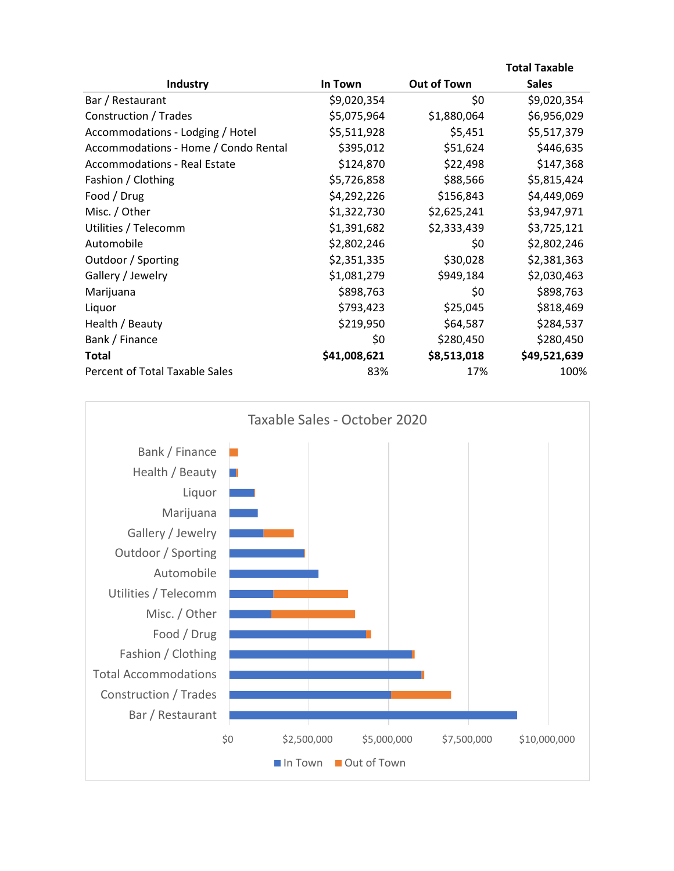|                                      |              |             | <b>Total Taxable</b> |
|--------------------------------------|--------------|-------------|----------------------|
| Industry                             | In Town      | Out of Town | <b>Sales</b>         |
| Bar / Restaurant                     | \$9,020,354  | \$0         | \$9,020,354          |
| Construction / Trades                | \$5,075,964  | \$1,880,064 | \$6,956,029          |
| Accommodations - Lodging / Hotel     | \$5,511,928  | \$5,451     | \$5,517,379          |
| Accommodations - Home / Condo Rental | \$395,012    | \$51,624    | \$446,635            |
| <b>Accommodations - Real Estate</b>  | \$124,870    | \$22,498    | \$147,368            |
| Fashion / Clothing                   | \$5,726,858  | \$88,566    | \$5,815,424          |
| Food / Drug                          | \$4,292,226  | \$156,843   | \$4,449,069          |
| Misc. / Other                        | \$1,322,730  | \$2,625,241 | \$3,947,971          |
| Utilities / Telecomm                 | \$1,391,682  | \$2,333,439 | \$3,725,121          |
| Automobile                           | \$2,802,246  | \$0         | \$2,802,246          |
| Outdoor / Sporting                   | \$2,351,335  | \$30,028    | \$2,381,363          |
| Gallery / Jewelry                    | \$1,081,279  | \$949,184   | \$2,030,463          |
| Marijuana                            | \$898,763    | \$0         | \$898,763            |
| Liquor                               | \$793,423    | \$25,045    | \$818,469            |
| Health / Beauty                      | \$219,950    | \$64,587    | \$284,537            |
| Bank / Finance                       | \$0          | \$280,450   | \$280,450            |
| <b>Total</b>                         | \$41,008,621 | \$8,513,018 | \$49,521,639         |
| Percent of Total Taxable Sales       | 83%          | 17%         | 100%                 |

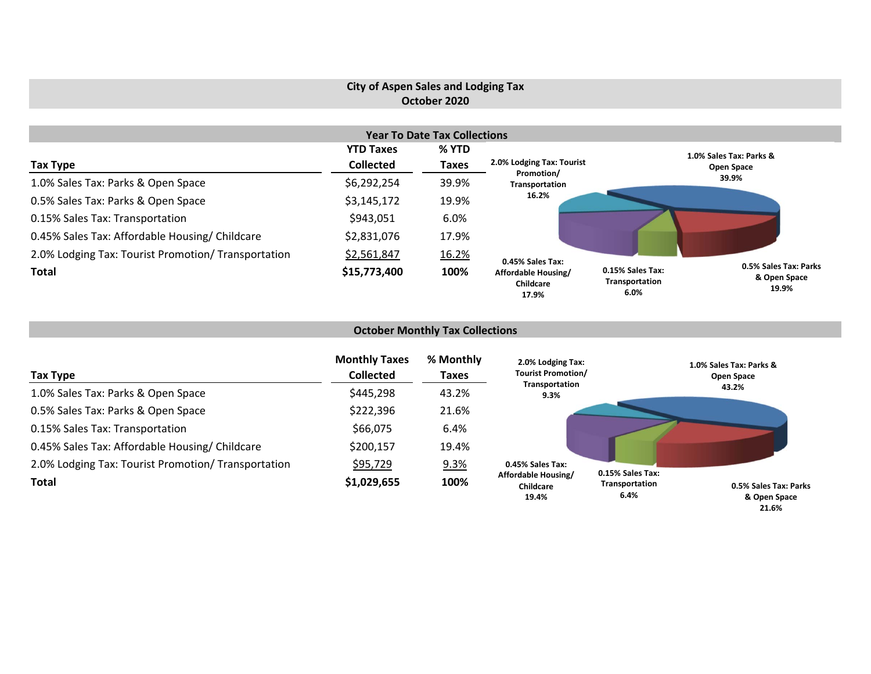# **City of Aspen Sales and Lodging Tax October 2020**

|                                                     |                  | <b>Year To Date Tax Collections</b> |                                           |                                            |                                                |
|-----------------------------------------------------|------------------|-------------------------------------|-------------------------------------------|--------------------------------------------|------------------------------------------------|
|                                                     | <b>YTD Taxes</b> | % YTD                               |                                           |                                            | 1.0% Sales Tax: Parks &                        |
| Tax Type                                            | <b>Collected</b> | <b>Taxes</b>                        | 2.0% Lodging Tax: Tourist                 |                                            | Open Space                                     |
| 1.0% Sales Tax: Parks & Open Space                  | \$6,292,254      | 39.9%                               | Promotion/<br>Transportation              |                                            | 39.9%                                          |
| 0.5% Sales Tax: Parks & Open Space                  | \$3,145,172      | 19.9%                               | 16.2%                                     |                                            |                                                |
| 0.15% Sales Tax: Transportation                     | \$943,051        | 6.0%                                |                                           |                                            |                                                |
| 0.45% Sales Tax: Affordable Housing/ Childcare      | \$2,831,076      | 17.9%                               |                                           |                                            |                                                |
| 2.0% Lodging Tax: Tourist Promotion/ Transportation | \$2,561,847      | 16.2%                               | 0.45% Sales Tax:                          |                                            |                                                |
| <b>Total</b>                                        | \$15,773,400     | 100%                                | Affordable Housing/<br>Childcare<br>17.9% | 0.15% Sales Tax:<br>Transportation<br>6.0% | 0.5% Sales Tax: Parks<br>& Open Space<br>19.9% |

### **October Monthly Tax Collections**

| Tax Type                                            | <b>Monthly Taxes</b><br><b>Collected</b> | % Monthly<br>Taxes | 2.0% Lodging Tax:<br><b>Tourist Promotion/</b> |                        | 1.0% Sales Tax: Parks &<br>Open Space |
|-----------------------------------------------------|------------------------------------------|--------------------|------------------------------------------------|------------------------|---------------------------------------|
| 1.0% Sales Tax: Parks & Open Space                  | \$445,298                                | 43.2%              | Transportation<br>9.3%                         |                        | 43.2%                                 |
| 0.5% Sales Tax: Parks & Open Space                  | \$222,396                                | 21.6%              |                                                |                        |                                       |
| 0.15% Sales Tax: Transportation                     | \$66,075                                 | 6.4%               |                                                |                        |                                       |
| 0.45% Sales Tax: Affordable Housing/ Childcare      | \$200,157                                | 19.4%              |                                                |                        |                                       |
| 2.0% Lodging Tax: Tourist Promotion/ Transportation | \$95,729                                 | 9.3%               | 0.45% Sales Tax:                               | 0.15% Sales Tax:       |                                       |
| <b>Total</b>                                        | \$1,029,655                              | 100%               | Affordable Housing/<br>Childcare<br>19.4%      | Transportation<br>6.4% | 0.5% Sales Tax: Parks<br>& Open Space |

**21.6%**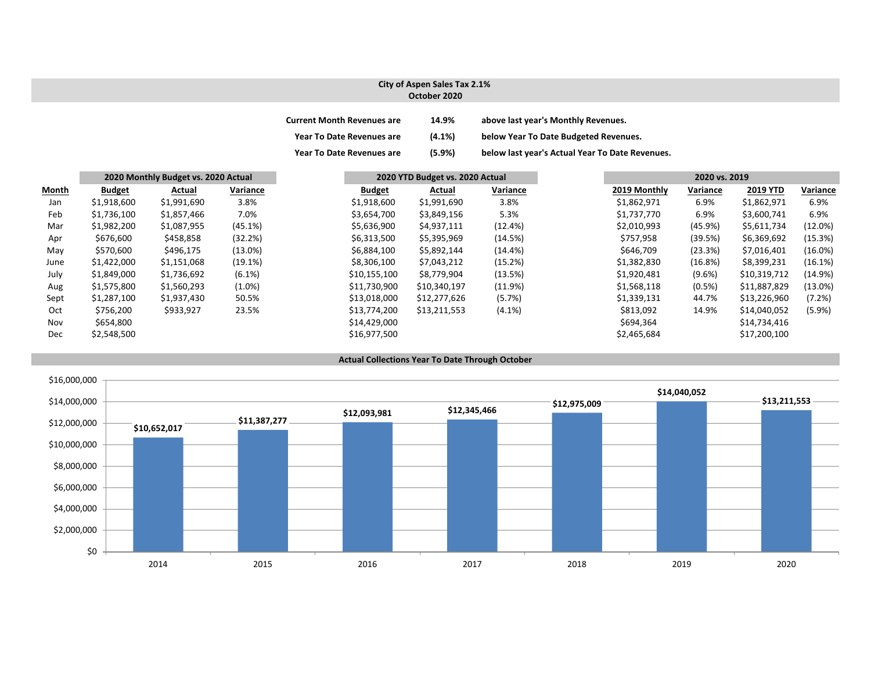### **City of Aspen Sales Tax 2.1% October 2020**

| <b>Current Month Revenues are</b> | 14.9%     | above last year's Monthly Revenues.             |
|-----------------------------------|-----------|-------------------------------------------------|
| <b>Year To Date Revenues are</b>  | $(4.1\%)$ | below Year To Date Budgeted Revenues.           |
| <b>Year To Date Revenues are</b>  | (5.9%)    | below last year's Actual Year To Date Revenues. |

|              | 2020 Monthly Budget vs. 2020 Actual |             |            |               | 2020 YTD Budget vs. 2020 Actual |              |            | 2020 vs. 2019 |           |                 |            |
|--------------|-------------------------------------|-------------|------------|---------------|---------------------------------|--------------|------------|---------------|-----------|-----------------|------------|
| <b>Month</b> | <b>Budget</b>                       | Actual      | Variance   | <b>Budget</b> |                                 | Actual       | Variance   | 2019 Monthly  | Variance  | <b>2019 YTD</b> | Variance   |
| Jan          | \$1,918,600                         | \$1,991,690 | 3.8%       | \$1,918,600   |                                 | \$1,991,690  | 3.8%       | \$1,862,971   | 6.9%      | \$1,862,971     | 6.9%       |
| Feb          | \$1,736,100                         | \$1,857,466 | 7.0%       | \$3,654,700   |                                 | \$3,849,156  | 5.3%       | \$1,737,770   | 6.9%      | \$3,600,741     | 6.9%       |
| Mar          | \$1,982,200                         | \$1,087,955 | (45.1%)    | \$5,636,900   |                                 | \$4,937,111  | (12.4%)    | \$2,010,993   | (45.9%)   | \$5,611,734     | (12.0%)    |
| Apr          | \$676,600                           | \$458,858   | (32.2%)    | \$6,313,500   |                                 | \$5,395,969  | (14.5%)    | \$757,958     | (39.5%)   | \$6,369,692     | (15.3%)    |
| May          | \$570,600                           | \$496,175   | $(13.0\%)$ | \$6,884,100   |                                 | \$5,892,144  | $(14.4\%)$ | \$646,709     | (23.3%)   | \$7,016,401     | $(16.0\%)$ |
| June         | \$1,422,000                         | \$1,151,068 | (19.1%)    | \$8,306,100   |                                 | \$7,043,212  | (15.2%)    | \$1,382,830   | (16.8%)   | \$8,399,231     | $(16.1\%)$ |
| July         | \$1,849,000                         | \$1,736,692 | $(6.1\%)$  | \$10,155,100  |                                 | \$8,779,904  | (13.5%)    | \$1,920,481   | $(9.6\%)$ | \$10,319,712    | (14.9%)    |
| Aug          | \$1,575,800                         | \$1,560,293 | $(1.0\%)$  | \$11,730,900  |                                 | \$10,340,197 | (11.9%)    | \$1,568,118   | (0.5%)    | \$11,887,829    | $(13.0\%)$ |
| Sept         | \$1,287,100                         | \$1,937,430 | 50.5%      | \$13,018,000  |                                 | \$12,277,626 | (5.7%)     | \$1,339,131   | 44.7%     | \$13,226,960    | (7.2%)     |
| Oct          | \$756,200                           | \$933,927   | 23.5%      | \$13,774,200  |                                 | \$13,211,553 | $(4.1\%)$  | \$813,092     | 14.9%     | \$14,040,052    | (5.9%)     |
| Nov          | \$654,800                           |             |            | \$14,429,000  |                                 |              |            | \$694,364     |           | \$14,734,416    |            |
| Dec          | \$2,548,500                         |             |            | \$16,977,500  |                                 |              |            | \$2,465,684   |           | \$17,200,100    |            |

#### **Actual Collections Year To Date Through October**

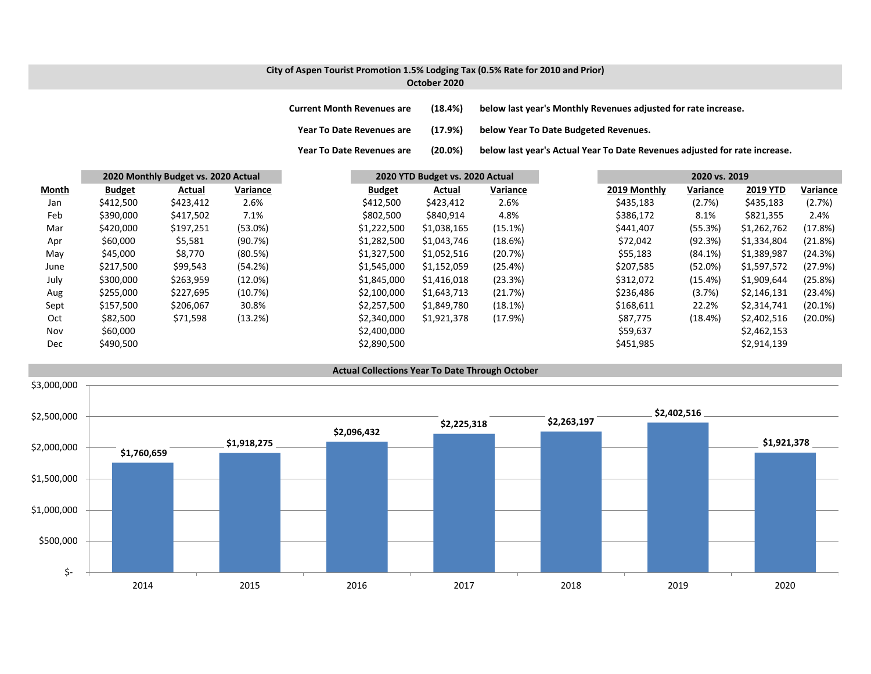### **City of Aspen Tourist Promotion 1.5% Lodging Tax (0.5% Rate for 2010 and Prior) October 2020**

**Current Month Revenues are (18.4%) below last year's Monthly Revenues adjusted for rate increase. Year ToDate Revenues are (17.9%) below Year To Date Budgeted Revenues.**

**Year To**

(20.0%) below last year's Actual Year To Date Revenues adjusted for rate increase.

|              |               | 2020 Monthly Budget vs. 2020 Actual |            |               | 2020 YTD Budget vs. 2020 Actual |          |              |          | 2020 vs. 2019   |            |  |
|--------------|---------------|-------------------------------------|------------|---------------|---------------------------------|----------|--------------|----------|-----------------|------------|--|
| <b>Month</b> | <b>Budget</b> | Actual                              | Variance   | <b>Budget</b> | Actual                          | Variance | 2019 Monthly | Variance | <b>2019 YTD</b> | Variance   |  |
| Jan          | \$412,500     | \$423,412                           | 2.6%       | \$412,500     | \$423,412                       | 2.6%     | \$435,183    | (2.7%)   | \$435,183       | (2.7%)     |  |
| Feb          | \$390,000     | \$417,502                           | 7.1%       | \$802,500     | \$840,914                       | 4.8%     | \$386,172    | 8.1%     | \$821,355       | 2.4%       |  |
| Mar          | \$420,000     | \$197,251                           | $(53.0\%)$ | \$1,222,500   | \$1,038,165                     | (15.1%)  | \$441,407    | (55.3%)  | \$1,262,762     | (17.8%)    |  |
| Apr          | \$60,000      | \$5,581                             | (90.7%)    | \$1,282,500   | \$1,043,746                     | (18.6%)  | \$72,042     | (92.3%)  | \$1,334,804     | (21.8%)    |  |
| May          | \$45,000      | \$8,770                             | (80.5%)    | \$1,327,500   | \$1,052,516                     | (20.7%)  | \$55,183     | (84.1%)  | \$1,389,987     | (24.3%)    |  |
| June         | \$217,500     | \$99,543                            | (54.2%)    | \$1,545,000   | \$1,152,059                     | (25.4%)  | \$207,585    | (52.0%)  | \$1,597,572     | (27.9%)    |  |
| July         | \$300,000     | \$263,959                           | $(12.0\%)$ | \$1,845,000   | \$1,416,018                     | (23.3%)  | \$312,072    | (15.4%)  | \$1,909,644     | (25.8%)    |  |
| Aug          | \$255,000     | \$227,695                           | (10.7%)    | \$2,100,000   | \$1,643,713                     | (21.7%)  | \$236,486    | (3.7%)   | \$2,146,131     | (23.4%)    |  |
| Sept         | \$157,500     | \$206,067                           | 30.8%      | \$2,257,500   | \$1,849,780                     | (18.1%)  | \$168,611    | 22.2%    | \$2,314,741     | (20.1%)    |  |
| Oct          | \$82,500      | \$71,598                            | (13.2%)    | \$2,340,000   | \$1,921,378                     | (17.9%)  | \$87,775     | (18.4%)  | \$2,402,516     | $(20.0\%)$ |  |
| Nov          | \$60,000      |                                     |            | \$2,400,000   |                                 |          | \$59,637     |          | \$2,462,153     |            |  |
| <b>Dec</b>   | \$490,500     |                                     |            | \$2,890,500   |                                 |          | \$451,985    |          | \$2,914,139     |            |  |

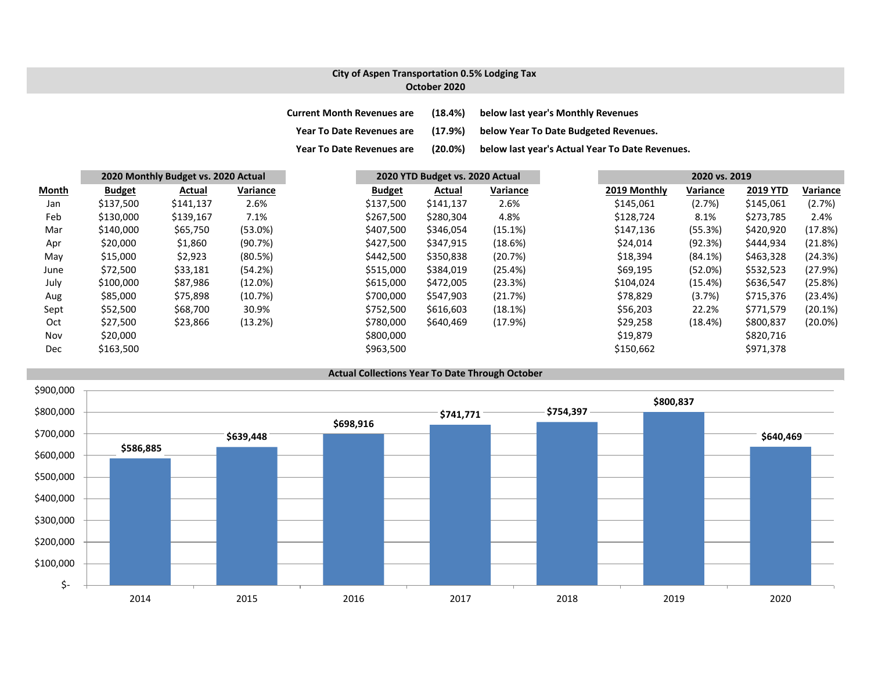## **City of Aspen Transportation 0.5% Lodging Tax October 2020**

| <b>Current Month Revenues are</b> | (18.4%)    | below last year's Monthly Revenues              |
|-----------------------------------|------------|-------------------------------------------------|
| <b>Year To Date Revenues are</b>  | (17.9%)    | below Year To Date Budgeted Revenues.           |
| <b>Year To Date Revenues are</b>  | $(20.0\%)$ | below last year's Actual Year To Date Revenues. |

|              |               | 2020 Monthly Budget vs. 2020 Actual |          |               | 2020 YTD Budget vs. 2020 Actual |            |  |              |            | 2020 vs. 2019   |                 |  |  |
|--------------|---------------|-------------------------------------|----------|---------------|---------------------------------|------------|--|--------------|------------|-----------------|-----------------|--|--|
| <b>Month</b> | <b>Budget</b> | Actual                              | Variance | <b>Budget</b> | Actual                          | Variance   |  | 2019 Monthly | Variance   | <b>2019 YTD</b> | <b>Variance</b> |  |  |
| Jan          | \$137,500     | \$141,137                           | 2.6%     | \$137,500     | \$141,137                       | 2.6%       |  | \$145,061    | (2.7%)     | \$145,061       | (2.7%)          |  |  |
| Feb          | \$130,000     | \$139,167                           | 7.1%     | \$267,500     | \$280,304                       | 4.8%       |  | \$128,724    | 8.1%       | \$273,785       | 2.4%            |  |  |
| Mar          | \$140,000     | \$65,750                            | (53.0%)  | \$407,500     | \$346,054                       | $(15.1\%)$ |  | \$147,136    | (55.3%)    | \$420,920       | (17.8%)         |  |  |
| Apr          | \$20,000      | \$1,860                             | (90.7%)  | \$427,500     | \$347,915                       | (18.6%)    |  | \$24,014     | (92.3%)    | \$444,934       | (21.8%)         |  |  |
| May          | \$15,000      | \$2,923                             | (80.5%)  | \$442,500     | \$350,838                       | (20.7%)    |  | \$18,394     | $(84.1\%)$ | \$463,328       | (24.3%)         |  |  |
| June         | \$72,500      | \$33,181                            | (54.2%)  | \$515,000     | \$384,019                       | (25.4%)    |  | \$69,195     | (52.0%)    | \$532,523       | (27.9%)         |  |  |
| July         | \$100,000     | \$87,986                            | (12.0%)  | \$615,000     | \$472,005                       | (23.3%)    |  | \$104,024    | (15.4%)    | \$636,547       | (25.8%)         |  |  |
| Aug          | \$85,000      | \$75,898                            | (10.7%)  | \$700,000     | \$547,903                       | (21.7%)    |  | \$78,829     | (3.7%)     | \$715,376       | (23.4%)         |  |  |
| Sept         | \$52,500      | \$68,700                            | 30.9%    | \$752,500     | \$616,603                       | (18.1%)    |  | \$56,203     | 22.2%      | \$771,579       | (20.1%)         |  |  |
| Oct          | \$27,500      | \$23,866                            | (13.2%)  | \$780,000     | \$640,469                       | (17.9%)    |  | \$29,258     | (18.4%)    | \$800,837       | $(20.0\%)$      |  |  |
| Nov          | \$20,000      |                                     |          | \$800,000     |                                 |            |  | \$19,879     |            | \$820,716       |                 |  |  |
| Dec          | \$163,500     |                                     |          | \$963,500     |                                 |            |  | \$150,662    |            | \$971,378       |                 |  |  |

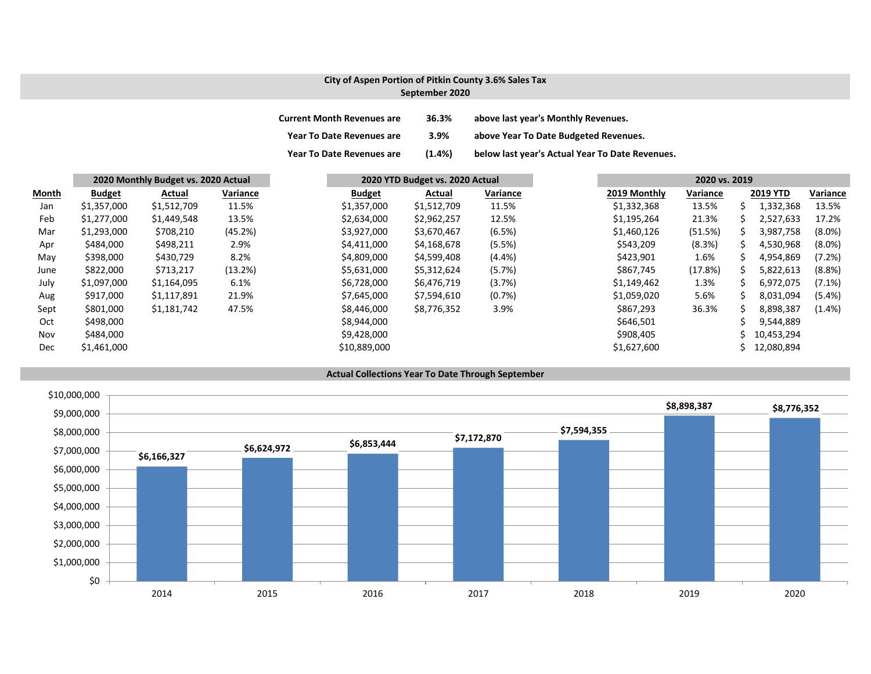## **City of Aspen Portion of Pitkin County 3.6% Sales Tax September 2020**

| <b>Current Month Revenues are</b> | 36.3%     | above last year's Monthly Revenues.             |
|-----------------------------------|-----------|-------------------------------------------------|
| <b>Year To Date Revenues are</b>  | 3.9%      | above Year To Date Budgeted Revenues.           |
| <b>Year To Date Revenues are</b>  | $(1.4\%)$ | below last year's Actual Year To Date Revenues. |

|            |               | 2020 Monthly Budget vs. 2020 Actual |          | 2020 YTD Budget vs. 2020 Actual |             |           | 2020 vs. 2019 |          |    |                 |           |
|------------|---------------|-------------------------------------|----------|---------------------------------|-------------|-----------|---------------|----------|----|-----------------|-----------|
| Month      | <b>Budget</b> | Actual                              | Variance | <b>Budget</b>                   | Actual      | Variance  | 2019 Monthly  | Variance |    | <b>2019 YTD</b> | Variance  |
| Jan        | \$1,357,000   | \$1,512,709                         | 11.5%    | \$1,357,000                     | \$1,512,709 | 11.5%     | \$1,332,368   | 13.5%    | S  | 1,332,368       | 13.5%     |
| Feb        | \$1,277,000   | \$1,449,548                         | 13.5%    | \$2,634,000                     | \$2,962,257 | 12.5%     | \$1,195,264   | 21.3%    | S  | 2,527,633       | 17.2%     |
| Mar        | \$1,293,000   | \$708,210                           | (45.2%)  | \$3,927,000                     | \$3,670,467 | (6.5%)    | \$1,460,126   | (51.5%)  | S  | 3,987,758       | $(8.0\%)$ |
| Apr        | \$484,000     | \$498,211                           | 2.9%     | \$4,411,000                     | \$4,168,678 | (5.5%)    | \$543,209     | (8.3%)   | S  | 4,530,968       | $(8.0\%)$ |
| May        | \$398,000     | \$430,729                           | 8.2%     | \$4,809,000                     | \$4,599,408 | $(4.4\%)$ | \$423,901     | 1.6%     | S. | 4,954,869       | (7.2%)    |
| June       | \$822,000     | \$713,217                           | (13.2%)  | \$5,631,000                     | \$5,312,624 | (5.7%)    | \$867,745     | (17.8%)  |    | 5,822,613       | (8.8%)    |
| July       | \$1,097,000   | \$1,164,095                         | 6.1%     | \$6,728,000                     | \$6,476,719 | (3.7%)    | \$1,149,462   | 1.3%     | ς  | 6,972,075       | $(7.1\%)$ |
| Aug        | \$917,000     | \$1,117,891                         | 21.9%    | \$7,645,000                     | \$7,594,610 | (0.7%)    | \$1,059,020   | 5.6%     | S  | 8,031,094       | $(5.4\%)$ |
| Sept       | \$801,000     | \$1,181,742                         | 47.5%    | \$8,446,000                     | \$8,776,352 | 3.9%      | \$867,293     | 36.3%    | ς  | 8,898,387       | $(1.4\%)$ |
| Oct        | \$498,000     |                                     |          | \$8,944,000                     |             |           | \$646,501     |          |    | 9,544,889       |           |
| Nov        | \$484,000     |                                     |          | \$9,428,000                     |             |           | \$908,405     |          |    | 10,453,294      |           |
| <b>Dec</b> | \$1,461,000   |                                     |          | \$10,889,000                    |             |           | \$1,627,600   |          |    | 12,080,894      |           |



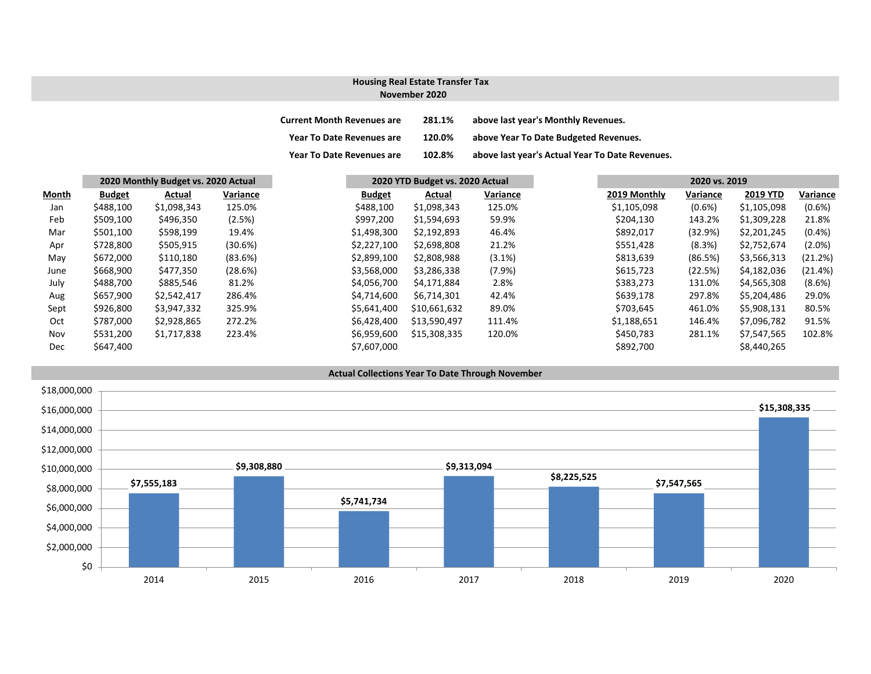### **November 2020 Housing Real Estate Transfer Tax**

| <b>Current Month Revenues are</b> | 281.1% | above last year's Monthly Revenues.             |
|-----------------------------------|--------|-------------------------------------------------|
| <b>Year To Date Revenues are</b>  | 120.0% | above Year To Date Budgeted Revenues.           |
| <b>Year To Date Revenues are</b>  | 102.8% | above last year's Actual Year To Date Revenues. |

|       | 2020 Monthly Budget vs. 2020 Actual |             |          |               | 2020 YTD Budget vs. 2020 Actual |           |  | 2020 vs. 2019 |           |                 |           |
|-------|-------------------------------------|-------------|----------|---------------|---------------------------------|-----------|--|---------------|-----------|-----------------|-----------|
| Month | <b>Budget</b>                       | Actual      | Variance | <b>Budget</b> | Actual                          | Variance  |  | 2019 Monthly  | Variance  | <b>2019 YTD</b> | Variance  |
| Jan   | \$488,100                           | \$1,098,343 | 125.0%   | \$488,100     | \$1,098,343                     | 125.0%    |  | \$1,105,098   | $(0.6\%)$ | \$1,105,098     | $(0.6\%)$ |
| Feb   | \$509,100                           | \$496,350   | (2.5%)   | \$997,200     | \$1,594,693                     | 59.9%     |  | \$204,130     | 143.2%    | \$1,309,228     | 21.8%     |
| Mar   | \$501,100                           | \$598,199   | 19.4%    | \$1,498,300   | \$2,192,893                     | 46.4%     |  | \$892,017     | (32.9%)   | \$2,201,245     | $(0.4\%)$ |
| Apr   | \$728,800                           | \$505,915   | (30.6%)  | \$2,227,100   | \$2,698,808                     | 21.2%     |  | \$551,428     | (8.3%)    | \$2,752,674     | (2.0%)    |
| May   | \$672,000                           | \$110,180   | (83.6%)  | \$2,899,100   | \$2,808,988                     | $(3.1\%)$ |  | \$813,639     | (86.5%)   | \$3,566,313     | (21.2%)   |
| June  | \$668,900                           | \$477,350   | (28.6%)  | \$3,568,000   | \$3,286,338                     | $(7.9\%)$ |  | \$615,723     | (22.5%)   | \$4,182,036     | (21.4%)   |
| July  | \$488,700                           | \$885,546   | 81.2%    | \$4,056,700   | \$4,171,884                     | 2.8%      |  | \$383,273     | 131.0%    | \$4,565,308     | $(8.6\%)$ |
| Aug   | \$657,900                           | \$2,542,417 | 286.4%   | \$4,714,600   | \$6,714,301                     | 42.4%     |  | \$639.178     | 297.8%    | \$5,204,486     | 29.0%     |
| Sept  | \$926,800                           | \$3,947,332 | 325.9%   | \$5,641,400   | \$10,661,632                    | 89.0%     |  | \$703,645     | 461.0%    | \$5,908,131     | 80.5%     |
| Oct   | \$787,000                           | \$2,928,865 | 272.2%   | \$6,428,400   | \$13,590,497                    | 111.4%    |  | \$1,188,651   | 146.4%    | \$7,096,782     | 91.5%     |
| Nov   | \$531,200                           | \$1,717,838 | 223.4%   | \$6,959,600   | \$15,308,335                    | 120.0%    |  | \$450,783     | 281.1%    | \$7,547,565     | 102.8%    |
| Dec   | \$647,400                           |             |          | \$7,607,000   |                                 |           |  | \$892,700     |           | \$8,440,265     |           |